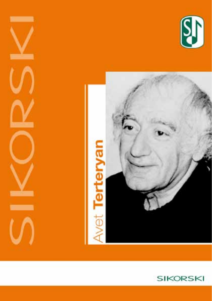





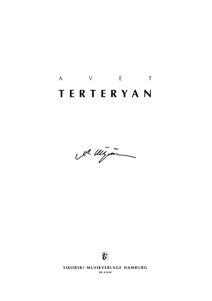# A V E T **t e r t e r y a n**

A. Wigan



**SIKORSKI MUSIKVERLAGE HAMBURG** 

**sik 4/5638**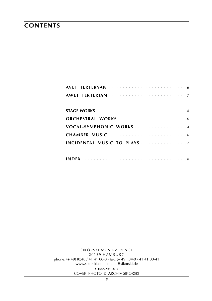### **CONTENTS**

| AVET TERTERYAN A Andrew Contract Contract Contract Contract Contract Contract Contract Contract Contract Contract Contract Contract Contract Contract Contract Contract Contract Contract Contract Contract Contract Contract |  |
|-------------------------------------------------------------------------------------------------------------------------------------------------------------------------------------------------------------------------------|--|
|                                                                                                                                                                                                                               |  |
|                                                                                                                                                                                                                               |  |
|                                                                                                                                                                                                                               |  |
|                                                                                                                                                                                                                               |  |
|                                                                                                                                                                                                                               |  |
|                                                                                                                                                                                                                               |  |
|                                                                                                                                                                                                                               |  |

SIKORSKI MUSIKVERLAGE 20139 HAMBURG phone: (+49) (0)40 / 41 41 00-0 · fax: (+49) (0)40 / 41 41 00-41 www.sikorski.de · contact@sikorski.de 9 JANUARY 2019 COVER PHOTO © ARCHIV SIKORSKI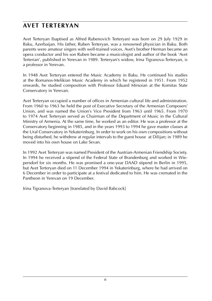### **avet terteryan**

Avet Terteryan (baptised as Alfred Rubenovich Terteryan) was born on 29 July 1929 in Baku, Azerbaijan. His father, Ruben Terteryan, was a renowned physician in Baku. Both parents were amateur singers with well-trained voices. Avet's brother Herman became an opera conductor and his son Ruben became a musicologist and author of the book 'Avet Terterian', published in Yerevan in 1989. Terteryan's widow, Irina Tigranova-Terteryan, is a professor in Yerevan.

In 1948 Avet Terteryan entered the Music Academy in Baku. He continued his studies at the Romanos-Melikian Music Academy in which he registered in 1951. From 1952 onwards, he studied composition with Professor Eduard Mirsoian at the Komitas State Conservatory in Yerevan.

Avet Terteryan occupied a number of offices in Armenian cultural life and administration. From 1960 to 1963 he held the post of Executive Secretary of the Armenian Composers' Union, and was named the Union's Vice President from 1963 until 1965. From 1970 to 1974 Avet Terteryan served as Chairman of the Department of Music in the Cultural Ministry of Armenia. At the same time, he worked as an editor. He was a professor at the Conservatory beginning in 1985, and in the years 1993 to 1994 he gave master classes at the Ural Conservatory in Yekaterinburg. In order to work on his own compositions without being disturbed, he withdrew at regular intervals to the guest house at Dilijan; in 1989 he moved into his own house on Lake Sevan.

In 1992 Avet Terteryan was named President of the Austrian-Armenian Friendship Society. In 1994 he received a stipend of the Federal State of Brandenburg and worked in Wiepersdorf for six months. He was promised a one-year DAAD stipend in Berlin in 1995, but Avet Terteryan died on 11 December 1994 in Yekaterinburg, where he had arrived on 6 December in order to participate at a festival dedicated to him. He was cremated in the Pantheon in Yerevan on 19 December.

Irina Tigranova-Terteryan [translated by David Babcock]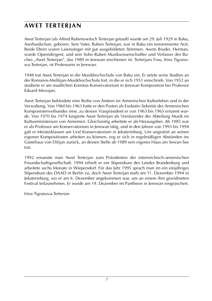### **awet terterjan**

Awet Terterjan (als Alfred Rubenowitsch Terterjan getauft) wurde am 29. Juli 1929 in Baku, Aserbaidschan, geboren. Sein Vater, Ruben Terterjan, war in Baku ein renommierter Arzt. Beide Eltern waren Laiensänger mit gut ausgebildeten Stimmen. Awets Bruder, Herman, wurde Operndirigent, und sein Sohn Ruben Musikwissenschaftler und Verfasser des Buches "Awet Terterjan", das 1989 in Jerewan erschienen ist. Terterjans Frau, Irina Tigranowa-Terterjan, ist Professorin in Jerewan.

1948 trat Awet Terterjan in die Musikhochschule von Baku ein. Er setzte seine Studien an der Romanos-Melikjan-Musikhochschule fort, in die er sich 1951 einschrieb. Von 1952 an studierte er am staatlichen Komitas-Konservatorium in Jerewan Komposition bei Professor Eduard Mirsojan.

Awet Terterjan bekleidete eine Reihe von Ämtern im Armenischen Kulturleben und in der Verwaltung. Von 1960 bis 1963 hatte er den Posten als Exekutiv-Sekretär des Armenischen Komponistenverbandes inne, zu dessen Vizepräsident er von 1963 bis 1965 ernannt wurde. Von 1970 bis 1974 fungierte Awet Terterjan als Vorsitzender der Abteilung Musik im Kultusministerium von Armenien. Gleichzeitig arbeitete er als Herausgeber. Ab 1985 war er als Professor am Konservatorium in Jerewan tätig, und in den Jahren von 1993 bis 1994 gab er Meisterklassen am Ural Konservatorium in Jekaterinburg. Um ungestört an seinen eigenen Kompositionen arbeiten zu können, zog er sich in regelmäßigen Abständen ins Gästehaus von Dilijan zurück, an dessen Stelle ab 1989 sein eigenes Haus am Sewan-See trat.

1992 ernannte man Awet Terterjan zum Präsidenten der österreichisch-armenischen Freundschaftsgesellschaft. 1994 erhielt er ein Stipendium des Landes Brandenburg und arbeitete sechs Monate in Wiepersdorf. Für das Jahr 1995 sprach man im ein einjähriges Stipendium des DAAD in Berlin zu, doch Awet Terterjan starb am 11. Dezember 1994 in Jekaterinburg, wo er am 6. Dezember angekommen war, um an einem ihm gewidmeten Festival teilzunehmen. Er wurde am 19. Dezember im Pantheon in Jerewan eingeäschert.

Irina Tigranova-Terterian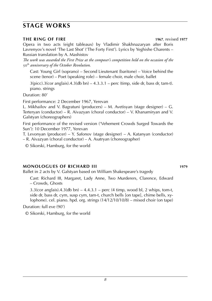### **stage works**

#### **the ring of fire 1967**, revised **1977**

Opera in two acts (eight tableaux) by Vladimir Shakhnazaryan after Boris Lavrenyov's novel 'The Last Shot' ('The Forty First'). Lyrics by Yeghishe Charents – Russian translation by A. Mashistov

*The work was awarded the First Prize at the composer's competition held on the occasion of the*  50th *anniversary of the October Revolution.*

Cast: Young Girl (soprano) – Second Lieutenant (baritone) – Voice behind the scene (tenor) – Poet (speaking role) – female choir, male choir, ballet

 $3(picc).3(cor anglais).4.3(db bn) - 4.3.3.1 - perc (timp, side dr, bass dr, tam-t).$ piano. strings

Duration: 80'

First performance: 2 December 1967, Yerevan

L. Mikhailov and V. Bagratuni (producers) – M. Avetisyan (stage designer) – G. Terteryan (conductor) – R. Aivazyan (choral conductor) – V. Khanamiryan and V. Galstyan (choreographers)

First performance of the revised version ('Vehement Crowds Surged Towards the Sun'): 10 December 1977, Yerevan

T. Levonyan (producer) – Y. Safonov (stage designer) – A. Katanyan (conductor) – R. Aivazyan (choral conductor) – A. Asatryan (choreographer)

© Sikorski, Hamburg, for the world

#### **monologues of Richard III 1979**

Ballet in 2 acts by V. Galstyan based on William Shakespeare's tragedy

Cast: Richard III, Margaret, Lady Anne, Two Murderers, Clarence, Edward – Crowds, Ghosts

 $3.3$ (cor anglais).4.3(db bn) –  $4.4.3.1$  – perc (4 timp, wood bl, 2 whips, tom-t, side dr, bass dr, cym, susp cym, tam-t, church bells [on tape], chime bells, xylophone). cel. piano. hpd. org. strings (14/12/10/10/8) – mixed choir (on tape)

Duration: full eve (90')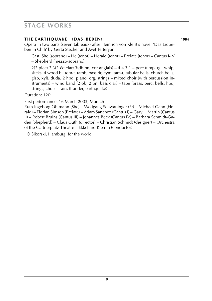### **stage works**

#### **the earthquake** (**das beben**) **1984**

Opera in two parts (seven tableaux) after Heinrich von Kleist's novel 'Das Erdbeben in Chili' by Gerta Stecher and Avet Terteryan

Cast: She (soprano) – He (tenor) – Herald (tenor) – Prelate (tenor) – Cantus I-IV – Shepherd (mezzo-soprano)

2(2 picc).2.3(2 *Eb* clar).3(db bn, cor anglais) – 4.4.3.1 – perc (timp, tgl, whip, sitcks, 4 wood bl, tom-t, tamb, bass dr, cym, tam-t, tubular bells, church bells, glsp, xyl). duda. 2 hpd. piano. org. strings – mixed choir (with percussion instruments) – wind band (2 ob, 2 bn, bass clar) – tape (brass, perc, bells, hpd, strings, choir – rain, thunder, earthquake)

Duration: 120'

First performance: 16 March 2003, Munich

Ruth Ingeborg Ohlmann (She) – Wolfgang Schwaninger (Er) – Michael Gann (Herald) – Florian Simson (Prelate) – Adam Sanchez (Cantus I) – Gary L. Martin (Cantus II) – Robert Bruins (Cantus III) – Johannes Beck (Cantus IV) – Barbara Schmidt-Gaden (Shepherd) – Claus Guth (director) – Christian Schmidt (designer) – Orchestra of the Gärtnerplatz Theatre – Ekkehard Klemm (conductor)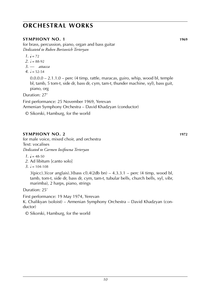#### **symphony no. 1 1969**

for brass, percussion, piano, organ and bass guitar *Dedicatetd to Ruben Borisovich Terteryan*

- $1. \, \text{J} = 72$
- $2. \, h = 88-92$
- *3*. –– *attacca*
- $4. d = 52-54$

0.0.0.0 – 2.1.1.0 – perc (4 timp, rattle, maracas, guiro, whip, wood bl, temple bl, tamb, 5 tom-t, side dr, bass dr, cym, tam-t, thunder machine, xyl), bass guit, piano, org

Duration: 27'

First performance: 25 November 1969, Yerevan Armenian Symphony Orchestra – David Khadzyan (conductor)

© Sikorski, Hamburg, for the world

#### **SYMPHONY NO. 2 1972**

for male voice, mixed choir, and orchestra Text: vocalises *Dedicated to Carmen Iosifowna Terteryan*

- $1. \, \text{J} = 48-50$
- *2*. Ad libitum [canto solo]
- $3. \, \text{h} = 104 108$

 $3(picc)$ .3(cor anglais).3(bass cl).4(2db bn) – 4.3.3.1 – perc (4 timp, wood bl, tamb, tom-t, side dr, bass dr, cym, tam-t, tubular bells, church bells, xyl, vibr, marimba), 2 harps, piano, strings

Duration: 25'

First performance: 19 May 1974, Yerevan K. Chalikyan (soloist) – Armenian Symphony Orchestra – David Khadzyan (conductor)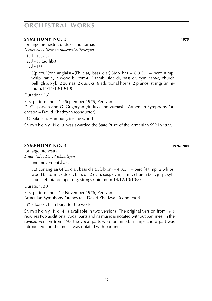#### **symphony no. 3 1975**

for large orchestra, duduks and zurnas *Dedicated to German Rubenovich Terteryan*

2.  $l = 88$  (ad lib.)

 $3 \quad J = 138$ 

 $3(pice).3(cor$  anglais). $4(Eb \text{ clar, bass clar}).3(db \text{ bn}) - 6.3.3.1 - \text{perc (timp,$ whip, rattle, 2 wood bl, tom-t, 2 tamb, side dr, bass dr, cym, tam-t, church bell, glsp, xyl), 2 zurnas, 2 duduks, 6 additional horns, 2 pianos, strings (minimum:14/14/10/10/10)

Duration: 26'

First performance: 19 September 1975, Yerevan D. Gasparyan and G. Grigoryan (duduks and zurnas) – Armenian Symphony Orchestra – David Khadzyan (conductor)

© Sikorski, Hamburg, for the world

S y m p h o n y N o. 3 was awarded the State Prize of the Armenian SSR in 1977.

### **symphony no. 4 1976**/**1984**

for large orchestra *Dedicated to David Khandzyan*

one movement  $l = 52$ 

 $3.3$ (cor anglais).4(Eb clar, bass clar).3(db bn)  $-4.3.3.1$  – perc (4 timp, 2 whips, wood bl, tom-t, side dr, bass dr, 2 cym, susp cym, tam-t, church bell, glsp, xyl), tape. cel. piano. hpd. org, strings (minimum:14/12/10/10/8)

Duration: 30'

First performance: 19 November 1976, Yerevan Armenian Symphony Orchestra – David Khadzyan (conductor)

© Sikorski, Hamburg, for the world

 $S$  y m p h o n y N o. 4 is available in two versions. The original version from 1976 requires two additional vocal parts and its music is notated without bar lines. In the revised version from 1984 the vocal parts were ommited, a harpsichord part was introduced and the music was notated with bar lines.

 $1. \sqrt{ } = 138-152$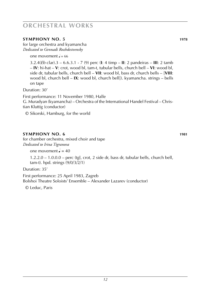#### **symphony no. 5 1978**

for large orchestra and kyamancha *Dedicated to Gennadi Rozhdestvensky*

one movement  $\frac{1}{2} = 66$ 

3.2.4(*Eb* clar).3 – 6.6.3.1 - 7 (9) perc (**I**: 4 timp – **II**: 2 pandeiras – **III**: 2 tamb – **IV**: hi-hat – **V**: crot, wood bl, tam-t, tubular bells, church bell – **VI**: wood bl, side dr, tubular bells, church bell – **VII**: wood bl, bass dr, church bells – [**VIII**: wood bl, church bell – **IX**: wood bl, church bell]). kyamancha. strings – bells on tape

Duration: 30'

First performance: 11 November 1980, Halle G. Muradyan (kyamancha) – Orchestra of the International Handel Festival – Christian Kluttig (conductor)

© Sikorski, Hamburg, for the world

#### **symphony no. 6 1981**

for chamber orchestra, mixed choir and tape *Dedicated to Irina Tigranova*

one movement  $\epsilon = 40$ 

1.2.2.0 – 1.0.0.0 – perc (tgl, crot, 2 side dr, bass dr, tubular bells, church bell, tam-t). hpd. strings (9/0/3/2/1)

Duration: 35'

First performance: 25 April 1983, Zagreb Bolshoi Theatre Soloists' Ensemble – Alexander Lazarev (conductor)

© Leduc, Paris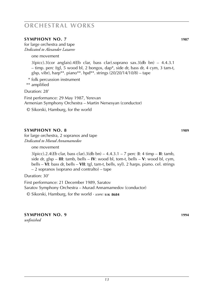#### **symphony no. 7 1987**

for large orchestra and tape *Dedicated to Alexander Lazarev*

one movement

3(picc).3(cor anglais).4(Eb clar, bass clar).soprano sax.3(db bn) – 4.4.3.1 – timp. perc (tgl, 5 wood bl, 2 bongos, dap\*, side dr, bass dr, 4 cym, 3 tam-t, glsp, vibr), harp\*\*. piano\*\*. hpd\*\*. strings  $(20/20/14/10/8)$  – tape

\* folk percussion instrument

\*\* amplified

Duration: 28'

First performance: 29 May 1987, Yerevan Armenian Symphony Orchestra – Martin Nersesyan (conductor) © Sikorski, Hamburg, for the world

#### **symphony no. 8 1989**

for large orchestra, 2 sopranos and tape *Dedicated to Murad Annamamedov*

one movement

3(picc).2.4(*Eb* clar, bass clar).3(db bn) – 4.4.3.1 – 7 perc (**I**: 4 timp – **II**: tamb, side dr, glsp – **III**: tamb, bells – **IV**: wood bl, tom-t, bells – **V**: wood bl, cym, bells – **VI**: bass dr, bells – **VII**: tgl, tam-t, bells, xyl). 2 harps. piano. cel. strings – 2 sopranos (soprano and contralto) – tape

Duration: 30'

First performance: 21 December 1989, Saratov Saratov Symphony Orchestra – Murad Annamamedov (conductor)

© Sikorski, Hamburg, for the world · *score:* **s i k 8684**

**symphony no. 9 1994** *unfinished*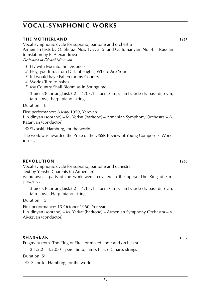### **vocal-symphonic works**

### **the motherland 1957**

Vocal-symphonic cycle for soprano, baritone and orchestra Armenian texts by O. Shiraz (Nos. 1, 2, 3, 5) and O. Tumanyan (No. 4) – Russian translation by E. Alexandrova *Dedicated to Edvard Mirzoyan*

- *1*. Fly with Me into the Distance
- *2*. Hey, you Birds from Distant Hights, Where Are You?
- *3*. If I would have Fallen for my Country ...
- *4*. Worlds Turn to Ashes
- *5*. My Country Shall Bloom as in Springtime ...

 $3$ (picc).3(cor anglais).3.2 – 4.3.3.1 – perc (timp, tamb, side dr, bass dr, cym, tam-t, xyl). harp. piano. strings

Duration: 18'

First performance: 8 May 1959, Yerevan

I. Aidinyan (soprano) – M. Yerkat (baritone) – Armenian Symphony Orchestra – A. Katanyan (conductor)

© Sikorski, Hamburg, for the world

The work was awarded the Prize of the USSR Review of Young Composers' Works in 1962.

#### **revolution 1960**

Vocal-symphonic cycle for soprano, baritone and ochestra

Text by Yerishe Charents (in Armenian)

withdrawn – parts of the work were recycled in the opera 'The Ring of Fire' (1967/1977)

 $3(pice).3(cor \text{ anglais}).3.2 - 4.3.3.1 - perc \text{ (timp, tamb, side dr, bass dr, cym,}$ tam-t, xyl). Harp. piano. strings

Duration: 15'

First performance: 13 October 1960, Yerevan

I. Aidinyan (soprano) – M. Yerkat (baritone) – Armenian Symphony Orchestra – V. Aivazyan (conductor)

#### **sharakan 1967**

Fragment from 'The Ring of Fire' for mixed choir and orchestra

 $2.1.2.2 - 4.2.0.0 -$  perc (timp, tamb, bass dr). harp. strings

Duration: 5'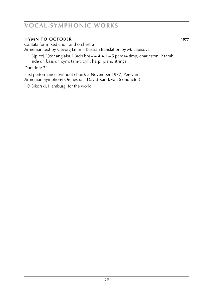### **vocal-symphonic works**

#### **hymn to october 1977**

Cantata for mixed choir and orchestra Armenian text by Gevorg Emin – Russian translation by M. Lapisova

 $3(picc).3(cor anglais).2.3(db bn) - 4.4.4.1 - 5 perc (4 timp, charleston, 2 tamb,$ side dr, bass dr, cym, tam-t, xyl). harp. piano strings

Duration: 7'

First performance (without choir): 5 November 1977, Yerevan Armenian Symphony Orchestra – David Kandzyan (conductor)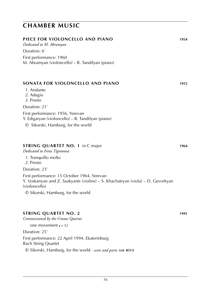### **chamber music**

| PIECE FOR VIOLONCELLO AND PIANO                                                       | 1954 |
|---------------------------------------------------------------------------------------|------|
| Dedicated to M. Abramyan                                                              |      |
| Duration: 6'                                                                          |      |
| First performance: 1960<br>M. Abramyan (violoncello) – R. Tandilyan (piano)           |      |
| SONATA FOR VIOLONCELLO AND PIANO                                                      | 1955 |
| 1. Andante                                                                            |      |
| 2. Adagio                                                                             |      |
| 3. Presto                                                                             |      |
| Duration: 21'                                                                         |      |
| First performance: 1956, Yerevan<br>Y. Edigaryan (violoncello) – R. Tandilyan (piano) |      |
| $\odot$ Sikorski, Hamburg, for the world                                              |      |
| <b>STRING QUARTET NO. 1 in C major</b>                                                | 1964 |

*Dedicated to Irina Tigranova*

- *1*. Tranquillo molto
- *2*. Presto

Duration: 23'

First performance: 15 October 1964, Yerevan Y. Voskanyan and Z. Saakyants (violins) – S. Khachatryan (viola) – D. Gevorkyan (violoncello)

© Sikorski, Hamburg, for the world

#### **string quartet no. 2 1991**

*Commissioned by the Cronos Quartet*

one movement  $J = 52$ 

Duration: 25'

First performance: 22 April 1994, Ekaterinburg Bach String Quartet

© Sikorski, Hamburg, for the world · *score and parts:* **s i k 8513**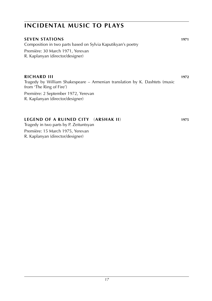### **incidental music to plays**

#### **seven stations 1971**

Composition in two parts based on Sylvia Kaputikyan's poetry Première: 30 March 1971, Yerevan R. Kaplanyan (director/designer)

#### **richard iii 1972**

Tragedy by William Shakespeare – Armenian translation by K. Dashtets (music from 'The Ring of Fire')

Première: 2 September 1972, Yerevan R. Kaplanyan (director/designer)

#### **legend of a ruined city** (**arshak II**) **1975**

Tragedy in two parts by P. Zeituntsyan

Première: 15 March 1975, Yerevan R. Kaplanyan (director/designer)